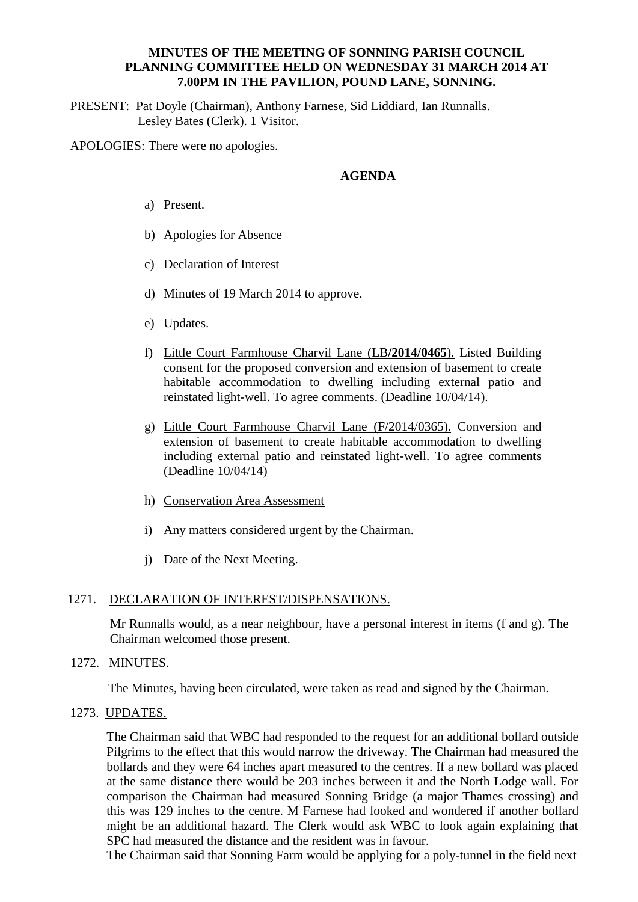## **MINUTES OF THE MEETING OF SONNING PARISH COUNCIL PLANNING COMMITTEE HELD ON WEDNESDAY 31 MARCH 2014 AT 7.00PM IN THE PAVILION, POUND LANE, SONNING.**

PRESENT: Pat Doyle (Chairman), Anthony Farnese, Sid Liddiard, Ian Runnalls. Lesley Bates (Clerk). 1 Visitor.

APOLOGIES: There were no apologies.

## **AGENDA**

- a) Present.
- b) Apologies for Absence
- c) Declaration of Interest
- d) Minutes of 19 March 2014 to approve.
- e) Updates.
- f) Little Court Farmhouse Charvil Lane (LB**/2014/0465**). Listed Building consent for the proposed conversion and extension of basement to create habitable accommodation to dwelling including external patio and reinstated light-well. To agree comments. (Deadline 10/04/14).
- g) Little Court Farmhouse Charvil Lane (F/2014/0365). Conversion and extension of basement to create habitable accommodation to dwelling including external patio and reinstated light-well. To agree comments (Deadline 10/04/14)
- h) Conservation Area Assessment
- i) Any matters considered urgent by the Chairman.
- j) Date of the Next Meeting.

#### 1271. DECLARATION OF INTEREST/DISPENSATIONS.

Mr Runnalls would, as a near neighbour, have a personal interest in items (f and g). The Chairman welcomed those present.

### 1272. MINUTES.

The Minutes, having been circulated, were taken as read and signed by the Chairman.

1273. UPDATES.

The Chairman said that WBC had responded to the request for an additional bollard outside Pilgrims to the effect that this would narrow the driveway. The Chairman had measured the bollards and they were 64 inches apart measured to the centres. If a new bollard was placed at the same distance there would be 203 inches between it and the North Lodge wall. For comparison the Chairman had measured Sonning Bridge (a major Thames crossing) and this was 129 inches to the centre. M Farnese had looked and wondered if another bollard might be an additional hazard. The Clerk would ask WBC to look again explaining that SPC had measured the distance and the resident was in favour.

The Chairman said that Sonning Farm would be applying for a poly-tunnel in the field next